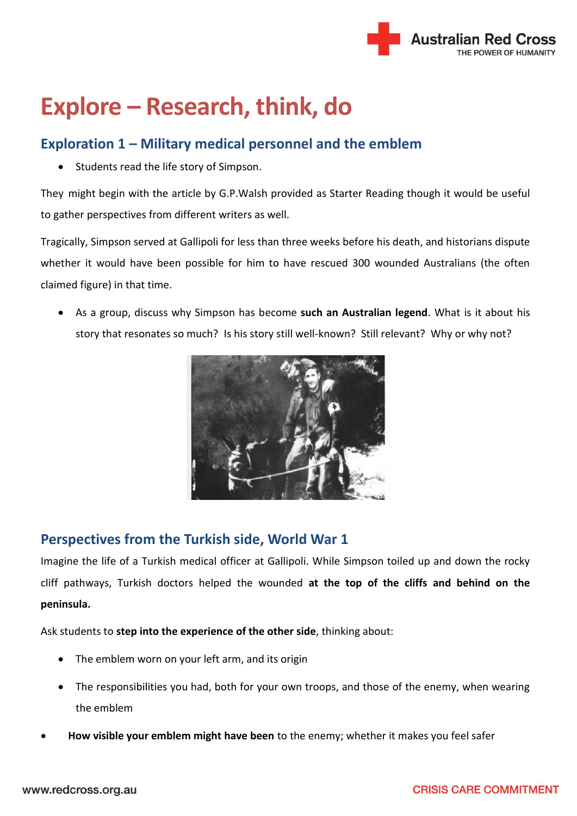

# **Explore – Research, think, do**

## **Exploration 1 – Military medical personnel and the emblem**

Students read the life story of Simpson.

They might begin with the [article by G.P.Walsh](file://///RCAU-FP-C1V1/Common/ARC%20%20Departments/National%20IHL/IHL%20Team/19.%20ARC%20Centenary/EDUCATION%20THEMES/UNDER%20THE%20RED%20CROSS%20EMBLEM/Under%20RC%20emblem%20-%20Finished%20as%20Word%20docs/Starter%20reading%20-%20The%20Life%20of%20Private%20John%20Simpson%20Kirkpatrick.pdf) provided as Starter Reading though it would be useful to gather perspectives from different writers as well.

Tragically, Simpson served at Gallipoli for less than three weeks before his death, and historians dispute whether it would have been possible for him to have rescued 300 wounded Australians (the often claimed figure) in that time.

 As a group, discuss why Simpson has become **such an Australian legend**. What is it about his story that resonates so much? Is his story still well-known? Still relevant? Why or why not?



# **Perspectives from the Turkish side, World War 1**

Imagine the life of a Turkish medical officer at Gallipoli. While Simpson toiled up and down the rocky cliff pathways, Turkish doctors helped the wounded **at the top of the cliffs and behind on the peninsula.**

Ask students to **step into the experience of the other side**, thinking about:

- The emblem worn on your left arm, and its origin
- The responsibilities you had, both for your own troops, and those of the enemy, when wearing the emblem
- **How visible your emblem might have been** to the enemy; whether it makes you feel safer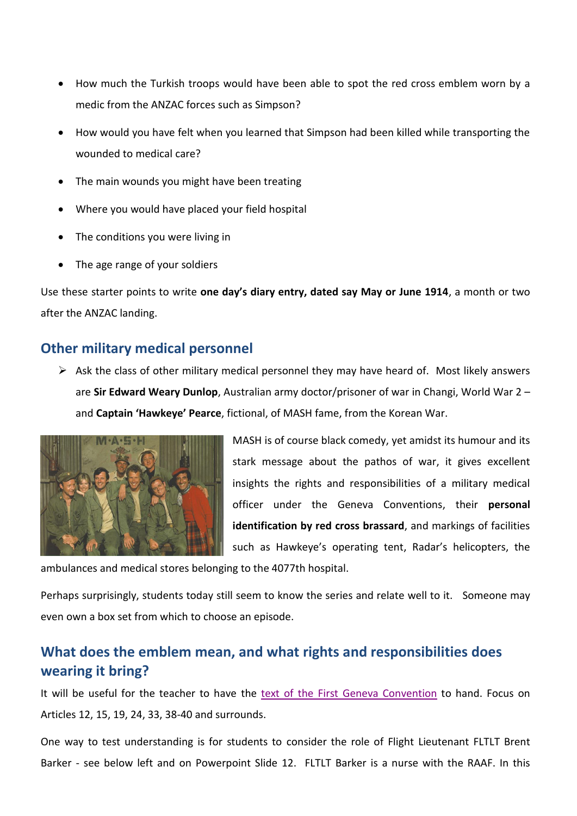- How much the Turkish troops would have been able to spot the red cross emblem worn by a medic from the ANZAC forces such as Simpson?
- How would you have felt when you learned that Simpson had been killed while transporting the wounded to medical care?
- The main wounds you might have been treating
- Where you would have placed your field hospital
- The conditions you were living in
- The age range of your soldiers

Use these starter points to write **one day's diary entry, dated say May or June 1914**, a month or two after the ANZAC landing.

## **Other military medical personnel**

 $\triangleright$  Ask the class of other military medical personnel they may have heard of. Most likely answers are **Sir Edward Weary Dunlop**, Australian army doctor/prisoner of war in Changi, World War 2 – and **Captain 'Hawkeye' Pearce**, fictional, of MASH fame, from the Korean War.



MASH is of course black comedy, yet amidst its humour and its stark message about the pathos of war, it gives excellent insights the rights and responsibilities of a military medical officer under the Geneva Conventions, their **personal identification by red cross brassard**, and markings of facilities such as Hawkeye's operating tent, Radar's helicopters, the

ambulances and medical stores belonging to the 4077th hospital.

Perhaps surprisingly, students today still seem to know the series and relate well to it. Someone may even own a box set from which to choose an episode.

# **What does the emblem mean, and what rights and responsibilities does wearing it bring?**

It will be useful for the teacher to have the [text of the First Geneva Convention](http://www.icrc.org/eng/resources/documents/publication/p0173.htm) to hand. Focus on Articles 12, 15, 19, 24, 33, 38-40 and surrounds.

One way to test understanding is for students to consider the role of Flight Lieutenant FLTLT Brent Barker - see below left and on Powerpoint Slide 12. FLTLT Barker is a nurse with the RAAF. In this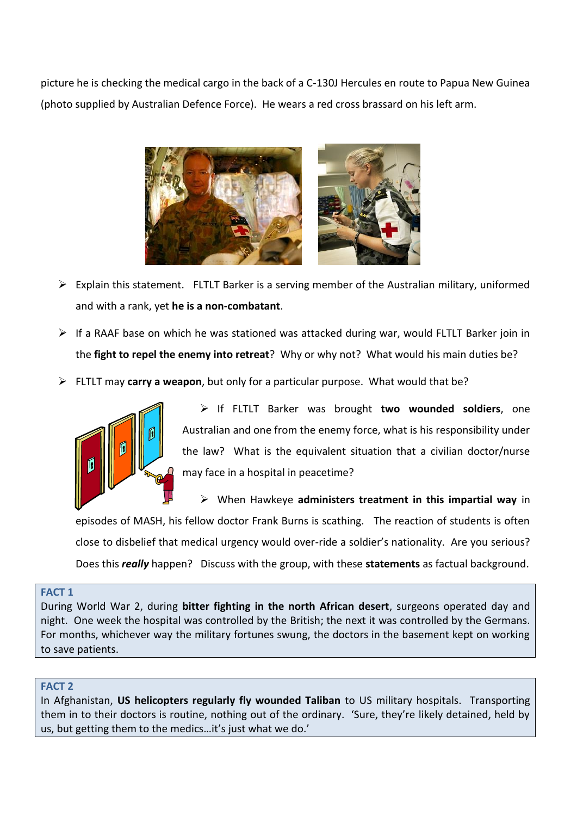picture he is checking the medical cargo in the back of a C-130J Hercules en route to Papua New Guinea (photo supplied by Australian Defence Force). He wears a red cross brassard on his left arm.



- $\triangleright$  Explain this statement. FLTLT Barker is a serving member of the Australian military, uniformed and with a rank, yet **he is a non-combatant**.
- $\triangleright$  If a RAAF base on which he was stationed was attacked during war, would FLTLT Barker join in the **fight to repel the enemy into retreat**? Why or why not? What would his main duties be?
- FLTLT may **carry a weapon**, but only for a particular purpose. What would that be?



 If FLTLT Barker was brought **two wounded soldiers**, one Australian and one from the enemy force, what is his responsibility under the law? What is the equivalent situation that a civilian doctor/nurse may face in a hospital in peacetime?

 When Hawkeye **administers treatment in this impartial way** in episodes of MASH, his fellow doctor Frank Burns is scathing. The reaction of students is often close to disbelief that medical urgency would over-ride a soldier's nationality. Are you serious? Does this *really* happen? Discuss with the group, with these **statements** as factual background.

### **FACT 1**

During World War 2, during **bitter fighting in the north African desert**, surgeons operated day and night. One week the hospital was controlled by the British; the next it was controlled by the Germans. For months, whichever way the military fortunes swung, the doctors in the basement kept on working to save patients.

#### **FACT 2**

In Afghanistan, **US helicopters regularly fly wounded Taliban** to US military hospitals. Transporting them in to their doctors is routine, nothing out of the ordinary. 'Sure, they're likely detained, held by us, but getting them to the medics…it's just what we do.'